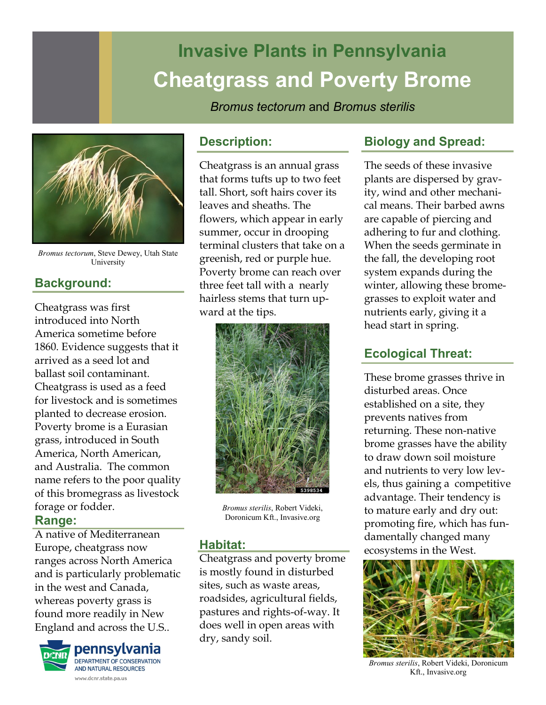# **Invasive Plants in Pennsylvania Cheatgrass and Poverty Brome**

*Bromus tectorum* and *Bromus sterilis*



*Bromus tectorum*, Steve Dewey, Utah State University

# **Background:**

Cheatgrass was first introduced into North America sometime before 1860. Evidence suggests that it arrived as a seed lot and ballast soil contaminant. Cheatgrass is used as a feed for livestock and is sometimes planted to decrease erosion. Poverty brome is a Eurasian grass, introduced in South America, North American, and Australia. The common name refers to the poor quality of this bromegrass as livestock forage or fodder.

### **Range:**

A native of Mediterranean Europe, cheatgrass now ranges across North America and is particularly problematic in the west and Canada, whereas poverty grass is found more readily in New England and across the U.S..



## **Description:**

Cheatgrass is an annual grass that forms tufts up to two feet tall. Short, soft hairs cover its leaves and sheaths. The flowers, which appear in early summer, occur in drooping terminal clusters that take on a greenish, red or purple hue. Poverty brome can reach over three feet tall with a nearly hairless stems that turn upward at the tips.



*Bromus sterilis*, Robert Videki, Doronicum Kft., Invasive.org

### **Habitat:**

Cheatgrass and poverty brome is mostly found in disturbed sites, such as waste areas, roadsides, agricultural fields, pastures and rights-of-way. It does well in open areas with dry, sandy soil.

# **Biology and Spread:**

The seeds of these invasive plants are dispersed by gravity, wind and other mechanical means. Their barbed awns are capable of piercing and adhering to fur and clothing. When the seeds germinate in the fall, the developing root system expands during the winter, allowing these bromegrasses to exploit water and nutrients early, giving it a head start in spring.

# **Ecological Threat:**

These brome grasses thrive in disturbed areas. Once established on a site, they prevents natives from returning. These non-native brome grasses have the ability to draw down soil moisture and nutrients to very low levels, thus gaining a competitive advantage. Their tendency is to mature early and dry out: promoting fire, which has fundamentally changed many ecosystems in the West.



*Bromus sterilis*, Robert Videki, Doronicum Kft., Invasive.org